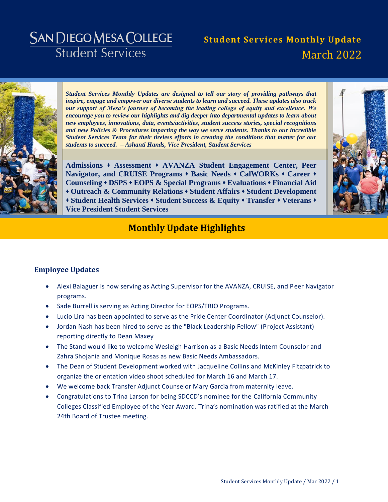# **SAN DIEGO MESA COLLEGE Student Services**

# **Student Services Monthly Update** March 2022



*Student Services Monthly Updates are designed to tell our story of providing pathways that inspire, engage and empower our diverse students to learn and succeed. These updates also track our support of Mesa's journey of becoming the leading college of equity and excellence. We encourage you to review our highlights and dig deeper into departmental updates to learn about new employees, innovations, data, events/activities, student success stories, special recognitions and new Policies & Procedures impacting the way we serve students. Thanks to our incredible Student Services Team for their tireless efforts in creating the conditions that matter for our students to succeed. – Ashanti Hands, Vice President, Student Services* 

**[Admissions](#page-3-0) [Assessment](#page-4-0) [AVANZA Student Engagement Center,](#page-5-0) [Peer](#page-5-1)  [Navigator, and CRUISE Programs](#page-5-1) [Basic Needs](#page-7-0) [CalWORKs](#page-8-0) [Career](#page-10-0) [Counseling](#page-12-0) [DSPS](#page-13-0) [EOPS & Special Programs](#page-14-0) [Evaluations](#page-16-0) [Financial Aid](#page-17-0) [Outreach & Community Relations](#page-18-0) [Student Affairs](#page-20-0) [Student Development](#page-22-0) [Student Health Services](#page-23-0) [Student Success & Equity](#page-24-0) [Transfer](#page-25-0) [Veterans](#page-26-0) [Vice President Student Services](#page-27-0)**



# **Monthly Update Highlights**

# **Employee Updates**

- Alexi Balaguer is now serving as Acting Supervisor for the AVANZA, CRUISE, and Peer Navigator programs.
- Sade Burrell is serving as Acting Director for EOPS/TRIO Programs.
- Lucio Lira has been appointed to serve as the Pride Center Coordinator (Adjunct Counselor).
- Jordan Nash has been hired to serve as the "Black Leadership Fellow" (Project Assistant) reporting directly to Dean Maxey
- The Stand would like to welcome Wesleigh Harrison as a Basic Needs Intern Counselor and Zahra Shojania and Monique Rosas as new Basic Needs Ambassadors.
- The Dean of Student Development worked with Jacqueline Collins and McKinley Fitzpatrick to organize the orientation video shoot scheduled for March 16 and March 17.
- We welcome back Transfer Adjunct Counselor Mary Garcia from maternity leave.
- Congratulations to Trina Larson for being SDCCD's nominee for the California Community Colleges Classified Employee of the Year Award. Trina's nomination was ratified at the March 24th Board of Trustee meeting.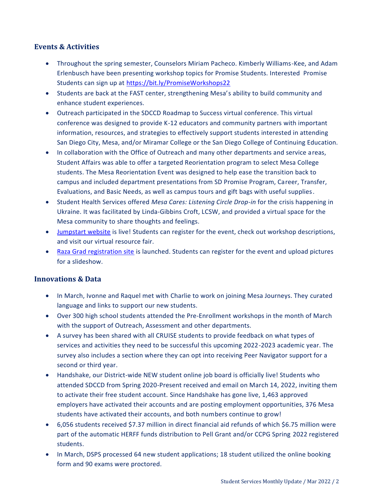### **Events & Activities**

- Throughout the spring semester, Counselors Miriam Pacheco. Kimberly Williams-Kee, and Adam Erlenbusch have been presenting workshop topics for Promise Students. Interested Promise Students can sign up at<https://bit.ly/PromiseWorkshops22>
- Students are back at the FAST center, strengthening Mesa's ability to build community and enhance student experiences.
- Outreach participated in the SDCCD Roadmap to Success virtual conference. This virtual conference was designed to provide K-12 educators and community partners with important information, resources, and strategies to effectively support students interested in attending San Diego City, Mesa, and/or Miramar College or the San Diego College of Continuing Education.
- In collaboration with the Office of Outreach and many other departments and service areas, Student Affairs was able to offer a targeted Reorientation program to select Mesa College students. The Mesa Reorientation Event was designed to help ease the transition back to campus and included department presentations from SD Promise Program, Career, Transfer, Evaluations, and Basic Needs, as well as campus tours and gift bags with useful supplies.
- Student Health Services offered *Mesa Cares: Listening Circle Drop-in* for the crisis happening in Ukraine. It was facilitated by Linda-Gibbins Croft, LCSW, and provided a virtual space for the Mesa community to share thoughts and feelings.
- [Jumpstart website](https://www.sdmesa.edu/campus-life/jumpstart.shtml) is live! Students can register for the event, check out workshop descriptions, and visit our virtual resource fair.
- [Raza Grad registration site](https://www.sdmesa.edu/academics/schools-departments/chicano-studies/raza-celebration.shtml) is launched. Students can register for the event and upload pictures for a slideshow.

### **Innovations & Data**

- In March, Ivonne and Raquel met with Charlie to work on joining Mesa Journeys. They curated language and links to support our new students.
- Over 300 high school students attended the Pre-Enrollment workshops in the month of March with the support of Outreach, Assessment and other departments.
- A survey has been shared with all CRUISE students to provide feedback on what types of services and activities they need to be successful this upcoming 2022-2023 academic year. The survey also includes a section where they can opt into receiving Peer Navigator support for a second or third year.
- Handshake, our District-wide NEW student online job board is officially live! Students who attended SDCCD from Spring 2020-Present received and email on March 14, 2022, inviting them to activate their free student account. Since Handshake has gone live, 1,463 approved employers have activated their accounts and are posting employment opportunities, 376 Mesa students have activated their accounts, and both numbers continue to grow!
- 6,056 students received \$7.37 million in direct financial aid refunds of which \$6.75 million were part of the automatic HERFF funds distribution to Pell Grant and/or CCPG Spring 2022 registered students.
- In March, DSPS processed 64 new student applications; 18 student utilized the online booking form and 90 exams were proctored.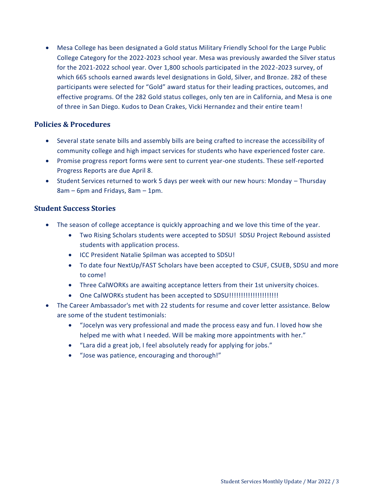Mesa College has been designated a Gold status Military Friendly School for the Large Public College Category for the 2022-2023 school year. Mesa was previously awarded the Silver status for the 2021-2022 school year. Over 1,800 schools participated in the 2022-2023 survey, of which 665 schools earned awards level designations in Gold, Silver, and Bronze. 282 of these participants were selected for "Gold" award status for their leading practices, outcomes, and effective programs. Of the 282 Gold status colleges, only ten are in California, and Mesa is one of three in San Diego. Kudos to Dean Crakes, Vicki Hernandez and their entire team!

### **Policies & Procedures**

- Several state senate bills and assembly bills are being crafted to increase the accessibility of community college and high impact services for students who have experienced foster care.
- Promise progress report forms were sent to current year-one students. These self-reported Progress Reports are due April 8.
- Student Services returned to work 5 days per week with our new hours: Monday Thursday 8am – 6pm and Fridays, 8am – 1pm.

### **Student Success Stories**

- The season of college acceptance is quickly approaching and we love this time of the year.
	- Two Rising Scholars students were accepted to SDSU! SDSU Project Rebound assisted students with application process.
	- ICC President Natalie Spilman was accepted to SDSU!
	- To date four NextUp/FAST Scholars have been accepted to CSUF, CSUEB, SDSU and more to come!
	- Three CalWORKs are awaiting acceptance letters from their 1st university choices.
	- One CalWORKs student has been accepted to SDSU!!!!!!!!!!!!!!!!!!!!!
- The Career Ambassador's met with 22 students for resume and cover letter assistance. Below are some of the student testimonials:
	- "Jocelyn was very professional and made the process easy and fun. I loved how she helped me with what I needed. Will be making more appointments with her."
	- "Lara did a great job, I feel absolutely ready for applying for jobs."
	- "Jose was patience, encouraging and thorough!"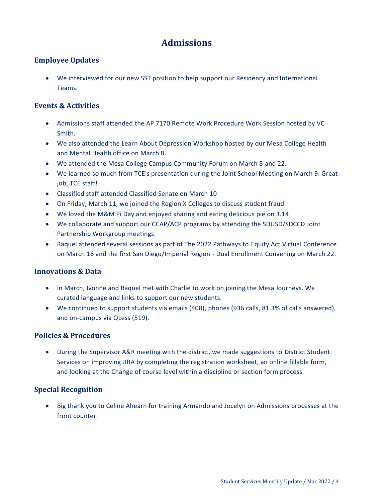# **Admissions**

### <span id="page-3-0"></span>**Employee Updates**

 We interviewed for our new SST position to help support our Residency and International Teams.

### **Events & Activities**

- Admissions staff attended the AP 7170 Remote Work Procedure Work Session hosted by VC Smith.
- We also attended the Learn About Depression Workshop hosted by our Mesa College Health and Mental Health office on March 8.
- We attended the Mesa College Campus Community Forum on March 8 and 22.
- We learned so much from TCE's presentation during the Joint School Meeting on March 9. Great job, TCE staff!
- Classified staff attended Classified Senate on March 10
- On Friday, March 11, we joined the Region X Colleges to discuss student fraud.
- We loved the M&M Pi Day and enjoyed sharing and eating delicious pie on 3.14
- We collaborate and support our CCAP/ACP programs by attending the SDUSD/SDCCD Joint Partnership Workgroup meetings.
- Raquel attended several sessions as part of The 2022 Pathways to Equity Act Virtual Conference on March 16 and the first San Diego/Imperial Region - Dual Enrollment Convening on March 22.

### **Innovations & Data**

- In March, Ivonne and Raquel met with Charlie to work on joining the Mesa Journeys. We curated language and links to support our new students.
- We continued to support students via emails (408), phones (936 calls, 81.3% of calls answered), and on-campus via QLess (519).

### **Policies & Procedures**

 During the Supervisor A&R meeting with the district, we made suggestions to District Student Services on improving JIRA by completing the registration worksheet, an online fillable form, and looking at the Change of course level within a discipline or section form process.

### **Special Recognition**

 Big thank you to Celine Ahearn for training Armando and Jocelyn on Admissions processes at the front counter.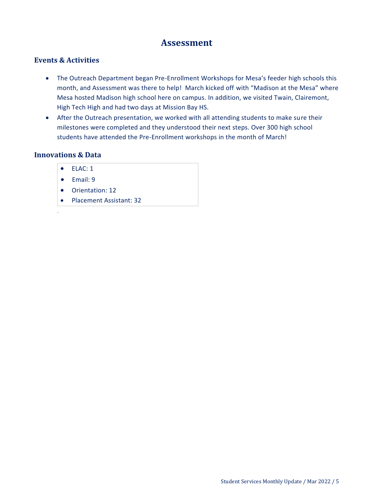# **Assessment**

# <span id="page-4-0"></span>**Events & Activities**

- The Outreach Department began Pre-Enrollment Workshops for Mesa's feeder high schools this month, and Assessment was there to help! March kicked off with "Madison at the Mesa" where Mesa hosted Madison high school here on campus. In addition, we visited Twain, Clairemont, High Tech High and had two days at Mission Bay HS.
- After the Outreach presentation, we worked with all attending students to make sure their milestones were completed and they understood their next steps. Over 300 high school students have attended the Pre-Enrollment workshops in the month of March!

### **Innovations & Data**

.

- ELAC: 1
- $\bullet$  Fmail: 9
- Orientation: 12
- Placement Assistant: 32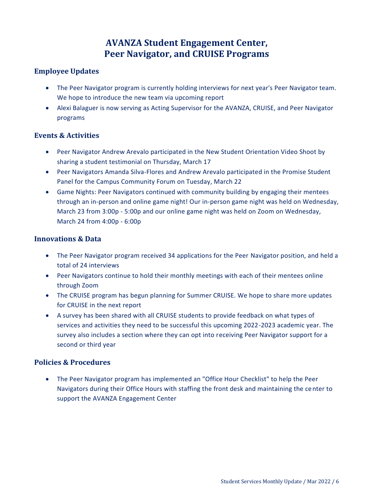# **AVANZA Student Engagement Center, Peer Navigator, and CRUISE Programs**

# <span id="page-5-1"></span><span id="page-5-0"></span>**Employee Updates**

- The Peer Navigator program is currently holding interviews for next year's Peer Navigator team. We hope to introduce the new team via upcoming report
- Alexi Balaguer is now serving as Acting Supervisor for the AVANZA, CRUISE, and Peer Navigator programs

# **Events & Activities**

- Peer Navigator Andrew Arevalo participated in the New Student Orientation Video Shoot by sharing a student testimonial on Thursday, March 17
- Peer Navigators Amanda Silva-Flores and Andrew Arevalo participated in the Promise Student Panel for the Campus Community Forum on Tuesday, March 22
- Game Nights: Peer Navigators continued with community building by engaging their mentees through an in-person and online game night! Our in-person game night was held on Wednesday, March 23 from 3:00p - 5:00p and our online game night was held on Zoom on Wednesday, March 24 from 4:00p - 6:00p

# **Innovations & Data**

- The Peer Navigator program received 34 applications for the Peer Navigator position, and held a total of 24 interviews
- Peer Navigators continue to hold their monthly meetings with each of their mentees online through Zoom
- The CRUISE program has begun planning for Summer CRUISE. We hope to share more updates for CRUISE in the next report
- A survey has been shared with all CRUISE students to provide feedback on what types of services and activities they need to be successful this upcoming 2022-2023 academic year. The survey also includes a section where they can opt into receiving Peer Navigator support for a second or third year

# **Policies & Procedures**

 The Peer Navigator program has implemented an "Office Hour Checklist" to help the Peer Navigators during their Office Hours with staffing the front desk and maintaining the center to support the AVANZA Engagement Center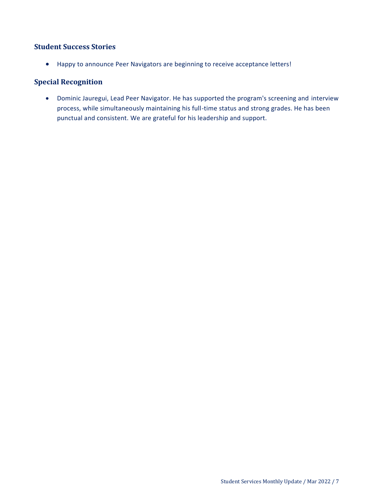# **Student Success Stories**

Happy to announce Peer Navigators are beginning to receive acceptance letters!

# **Special Recognition**

 Dominic Jauregui, Lead Peer Navigator. He has supported the program's screening and interview process, while simultaneously maintaining his full-time status and strong grades. He has been punctual and consistent. We are grateful for his leadership and support.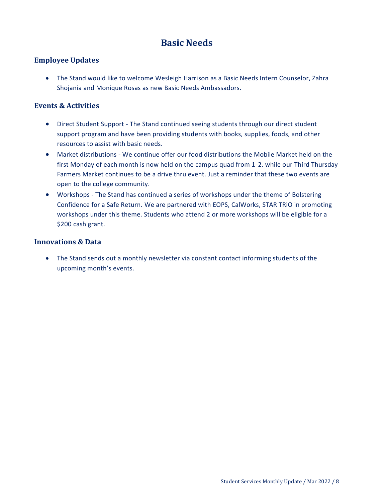# **Basic Needs**

### <span id="page-7-0"></span>**Employee Updates**

 The Stand would like to welcome Wesleigh Harrison as a Basic Needs Intern Counselor, Zahra Shojania and Monique Rosas as new Basic Needs Ambassadors.

### **Events & Activities**

- Direct Student Support The Stand continued seeing students through our direct student support program and have been providing students with books, supplies, foods, and other resources to assist with basic needs.
- Market distributions We continue offer our food distributions the Mobile Market held on the first Monday of each month is now held on the campus quad from 1-2. while our Third Thursday Farmers Market continues to be a drive thru event. Just a reminder that these two events are open to the college community.
- Workshops The Stand has continued a series of workshops under the theme of Bolstering Confidence for a Safe Return. We are partnered with EOPS, CalWorks, STAR TRiO in promoting workshops under this theme. Students who attend 2 or more workshops will be eligible for a \$200 cash grant.

### **Innovations & Data**

 The Stand sends out a monthly newsletter via constant contact informing students of the upcoming month's events.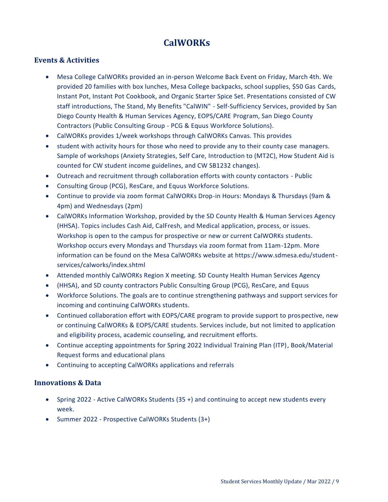# **CalWORKs**

### <span id="page-8-0"></span>**Events & Activities**

- Mesa College CalWORKs provided an in-person Welcome Back Event on Friday, March 4th. We provided 20 families with box lunches, Mesa College backpacks, school supplies, \$50 Gas Cards, Instant Pot, Instant Pot Cookbook, and Organic Starter Spice Set. Presentations consisted of CW staff introductions, The Stand, My Benefits "CalWIN" - Self-Sufficiency Services, provided by San Diego County Health & Human Services Agency, EOPS/CARE Program, San Diego County Contractors (Public Consulting Group - PCG & Equus Workforce Solutions).
- CalWORKs provides 1/week workshops through CalWORKs Canvas. This provides
- student with activity hours for those who need to provide any to their county case managers. Sample of workshops (Anxiety Strategies, Self Care, Introduction to (MT2C), How Student Aid is counted for CW student income guidelines, and CW SB1232 changes).
- Outreach and recruitment through collaboration efforts with county contactors Public
- Consulting Group (PCG), ResCare, and Equus Workforce Solutions.
- Continue to provide via zoom format CalWORKs Drop-in Hours: Mondays & Thursdays (9am & 4pm) and Wednesdays (2pm)
- CalWORKs Information Workshop, provided by the SD County Health & Human Services Agency (HHSA). Topics includes Cash Aid, CalFresh, and Medical application, process, or issues. Workshop is open to the campus for prospective or new or current CalWORKs students. Workshop occurs every Mondays and Thursdays via zoom format from 11am-12pm. More information can be found on the Mesa CalWORKs website at https://www.sdmesa.edu/studentservices/calworks/index.shtml
- Attended monthly CalWORKs Region X meeting. SD County Health Human Services Agency
- (HHSA), and SD county contractors Public Consulting Group (PCG), ResCare, and Equus
- Workforce Solutions. The goals are to continue strengthening pathways and support services for incoming and continuing CalWORKs students.
- Continued collaboration effort with EOPS/CARE program to provide support to prospective, new or continuing CalWORKs & EOPS/CARE students. Services include, but not limited to application and eligibility process, academic counseling, and recruitment efforts.
- Continue accepting appointments for Spring 2022 Individual Training Plan (ITP), Book/Material Request forms and educational plans
- Continuing to accepting CalWORKs applications and referrals

### **Innovations & Data**

- Spring 2022 Active CalWORKs Students (35 +) and continuing to accept new students every week.
- Summer 2022 Prospective CalWORKs Students (3+)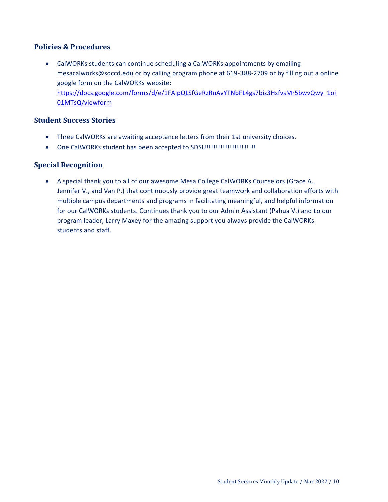### **Policies & Procedures**

 CalWORKs students can continue scheduling a CalWORKs appointments by emailing mesacalworks@sdccd.edu or by calling program phone at 619-388-2709 or by filling out a online google form on the CalWORKs website: [https://docs.google.com/forms/d/e/1FAIpQLSfGeRzRnAvYTNbFL4gs7biz3HsfvsMr5bwvQwy\\_1oi](https://docs.google.com/forms/d/e/1FAIpQLSfGeRzRnAvYTNbFL4gs7biz3HsfvsMr5bwvQwy_1oi01MTsQ/viewform) [01MTsQ/viewform](https://docs.google.com/forms/d/e/1FAIpQLSfGeRzRnAvYTNbFL4gs7biz3HsfvsMr5bwvQwy_1oi01MTsQ/viewform)

### **Student Success Stories**

- Three CalWORKs are awaiting acceptance letters from their 1st university choices.
- One CalWORKs student has been accepted to SDSU!!!!!!!!!!!!!!!!!!!!!

### **Special Recognition**

 A special thank you to all of our awesome Mesa College CalWORKs Counselors (Grace A., Jennifer V., and Van P.) that continuously provide great teamwork and collaboration efforts with multiple campus departments and programs in facilitating meaningful, and helpful information for our CalWORKs students. Continues thank you to our Admin Assistant (Pahua V.) and to our program leader, Larry Maxey for the amazing support you always provide the CalWORKs students and staff.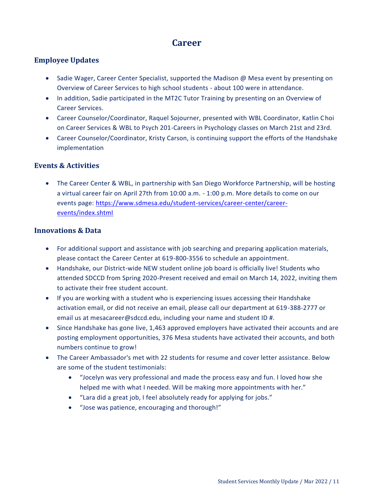# **Career**

# <span id="page-10-0"></span>**Employee Updates**

- Sadie Wager, Career Center Specialist, supported the Madison @ Mesa event by presenting on Overview of Career Services to high school students - about 100 were in attendance.
- In addition, Sadie participated in the MT2C Tutor Training by presenting on an Overview of Career Services.
- Career Counselor/Coordinator, Raquel Sojourner, presented with WBL Coordinator, Katlin Choi on Career Services & WBL to Psych 201-Careers in Psychology classes on March 21st and 23rd.
- Career Counselor/Coordinator, Kristy Carson, is continuing support the efforts of the Handshake implementation

# **Events & Activities**

 The Career Center & WBL, in partnership with San Diego Workforce Partnership, will be hosting a virtual career fair on April 27th from 10:00 a.m. - 1:00 p.m. More details to come on our events page: [https://www.sdmesa.edu/student-services/career-center/career](https://www.sdmesa.edu/student-services/career-center/career-events/index.shtml)[events/index.shtml](https://www.sdmesa.edu/student-services/career-center/career-events/index.shtml)

### **Innovations & Data**

- For additional support and assistance with job searching and preparing application materials, please contact the Career Center at 619-800-3556 to schedule an appointment.
- Handshake, our District-wide NEW student online job board is officially live! Students who attended SDCCD from Spring 2020-Present received and email on March 14, 2022, inviting them to activate their free student account.
- If you are working with a student who is experiencing issues accessing their Handshake activation email, or did not receive an email, please call our department at 619-388-2777 or email us at mesacareer@sdccd.edu, including your name and student ID #.
- Since Handshake has gone live, 1,463 approved employers have activated their accounts and are posting employment opportunities, 376 Mesa students have activated their accounts, and both numbers continue to grow!
- The Career Ambassador's met with 22 students for resume and cover letter assistance. Below are some of the student testimonials:
	- "Jocelyn was very professional and made the process easy and fun. I loved how she helped me with what I needed. Will be making more appointments with her."
	- "Lara did a great job, I feel absolutely ready for applying for jobs."
	- "Jose was patience, encouraging and thorough!"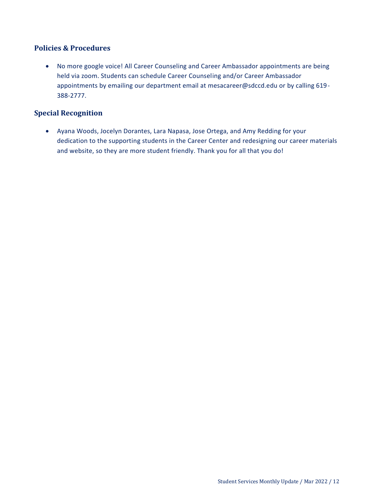### **Policies & Procedures**

 No more google voice! All Career Counseling and Career Ambassador appointments are being held via zoom. Students can schedule Career Counseling and/or Career Ambassador appointments by emailing our department email at mesacareer@sdccd.edu or by calling 619- 388-2777.

# **Special Recognition**

 Ayana Woods, Jocelyn Dorantes, Lara Napasa, Jose Ortega, and Amy Redding for your dedication to the supporting students in the Career Center and redesigning our career materials and website, so they are more student friendly. Thank you for all that you do!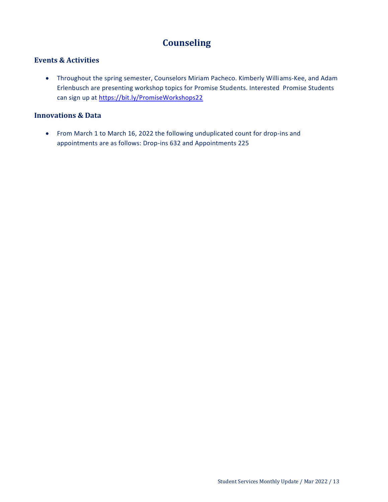# **Counseling**

# <span id="page-12-0"></span>**Events & Activities**

 Throughout the spring semester, Counselors Miriam Pacheco. Kimberly Williams-Kee, and Adam Erlenbusch are presenting workshop topics for Promise Students. Interested Promise Students can sign up at<https://bit.ly/PromiseWorkshops22>

### **Innovations & Data**

 From March 1 to March 16, 2022 the following unduplicated count for drop-ins and appointments are as follows: Drop-ins 632 and Appointments 225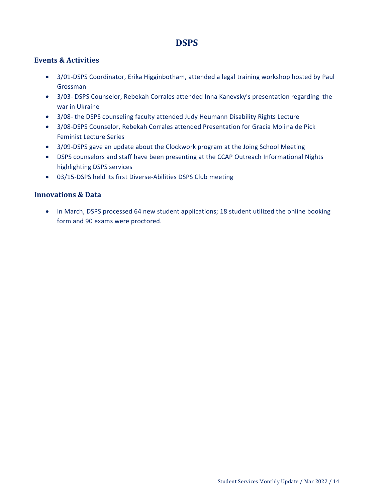# **DSPS**

### <span id="page-13-0"></span>**Events & Activities**

- 3/01-DSPS Coordinator, Erika Higginbotham, attended a legal training workshop hosted by Paul Grossman
- 3/03- DSPS Counselor, Rebekah Corrales attended Inna Kanevsky's presentation regarding the war in Ukraine
- 3/08- the DSPS counseling faculty attended Judy Heumann Disability Rights Lecture
- 3/08-DSPS Counselor, Rebekah Corrales attended Presentation for Gracia Molina de Pick Feminist Lecture Series
- 3/09-DSPS gave an update about the Clockwork program at the Joing School Meeting
- DSPS counselors and staff have been presenting at the CCAP Outreach Informational Nights highlighting DSPS services
- 03/15-DSPS held its first Diverse-Abilities DSPS Club meeting

### **Innovations & Data**

• In March, DSPS processed 64 new student applications; 18 student utilized the online booking form and 90 exams were proctored.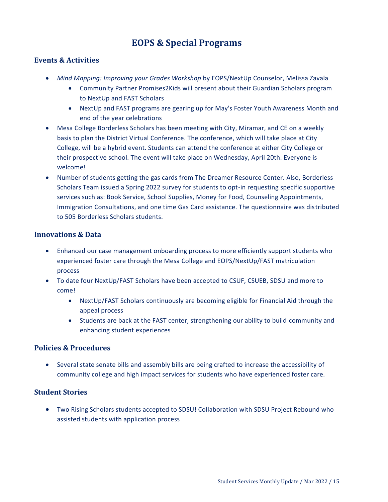# **EOPS & Special Programs**

### <span id="page-14-0"></span>**Events & Activities**

- *Mind Mapping: Improving your Grades Workshop* by EOPS/NextUp Counselor, Melissa Zavala
	- Community Partner Promises2Kids will present about their Guardian Scholars program to NextUp and FAST Scholars
	- NextUp and FAST programs are gearing up for May's Foster Youth Awareness Month and end of the year celebrations
- Mesa College Borderless Scholars has been meeting with City, Miramar, and CE on a weekly basis to plan the District Virtual Conference. The conference, which will take place at City College, will be a hybrid event. Students can attend the conference at either City College or their prospective school. The event will take place on Wednesday, April 20th. Everyone is welcome!
- Number of students getting the gas cards from The Dreamer Resource Center. Also, Borderless Scholars Team issued a Spring 2022 survey for students to opt-in requesting specific supportive services such as: Book Service, School Supplies, Money for Food, Counseling Appointments, Immigration Consultations, and one time Gas Card assistance. The questionnaire was distributed to 505 Borderless Scholars students.

### **Innovations & Data**

- Enhanced our case management onboarding process to more efficiently support students who experienced foster care through the Mesa College and EOPS/NextUp/FAST matriculation process
- To date four NextUp/FAST Scholars have been accepted to CSUF, CSUEB, SDSU and more to come!
	- NextUp/FAST Scholars continuously are becoming eligible for Financial Aid through the appeal process
	- Students are back at the FAST center, strengthening our ability to build community and enhancing student experiences

### **Policies & Procedures**

 Several state senate bills and assembly bills are being crafted to increase the accessibility of community college and high impact services for students who have experienced foster care.

### **Student Stories**

 Two Rising Scholars students accepted to SDSU! Collaboration with SDSU Project Rebound who assisted students with application process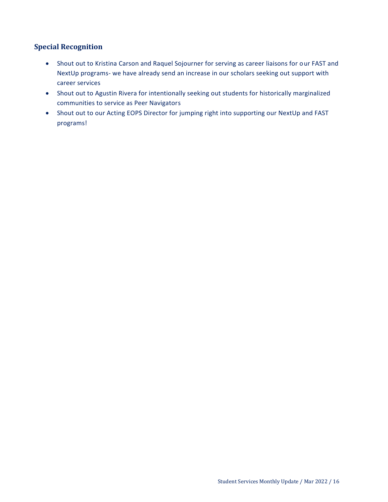# **Special Recognition**

- Shout out to Kristina Carson and Raquel Sojourner for serving as career liaisons for our FAST and NextUp programs- we have already send an increase in our scholars seeking out support with career services
- Shout out to Agustin Rivera for intentionally seeking out students for historically marginalized communities to service as Peer Navigators
- Shout out to our Acting EOPS Director for jumping right into supporting our NextUp and FAST programs!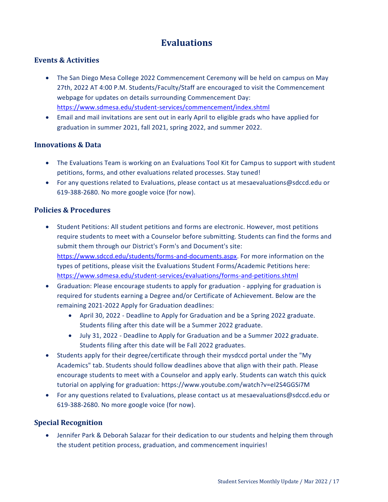# **Evaluations**

### <span id="page-16-0"></span>**Events & Activities**

- The San Diego Mesa College 2022 Commencement Ceremony will be held on campus on May 27th, 2022 AT 4:00 P.M. Students/Faculty/Staff are encouraged to visit the Commencement webpage for updates on details surrounding Commencement Day: <https://www.sdmesa.edu/student-services/commencement/index.shtml>
- Email and mail invitations are sent out in early April to eligible grads who have applied for graduation in summer 2021, fall 2021, spring 2022, and summer 2022.

### **Innovations & Data**

- The Evaluations Team is working on an Evaluations Tool Kit for Campus to support with student petitions, forms, and other evaluations related processes. Stay tuned!
- For any questions related to Evaluations, please contact us at mesaevaluations@sdccd.edu or 619-388-2680. No more google voice (for now).

### **Policies & Procedures**

- Student Petitions: All student petitions and forms are electronic. However, most petitions require students to meet with a Counselor before submitting. Students can find the forms and submit them through our District's Form's and Document's site: [https://www.sdccd.edu/students/forms-and-documents.aspx.](https://www.sdccd.edu/students/forms-and-documents.aspx) For more information on the types of petitions, please visit the Evaluations Student Forms/Academic Petitions here: <https://www.sdmesa.edu/student-services/evaluations/forms-and-petitions.shtml>
- Graduation: Please encourage students to apply for graduation applying for graduation is required for students earning a Degree and/or Certificate of Achievement. Below are the remaining 2021-2022 Apply for Graduation deadlines:
	- April 30, 2022 Deadline to Apply for Graduation and be a Spring 2022 graduate. Students filing after this date will be a Summer 2022 graduate.
	- July 31, 2022 Deadline to Apply for Graduation and be a Summer 2022 graduate. Students filing after this date will be Fall 2022 graduates.
- Students apply for their degree/certificate through their mysdccd portal under the "My Academics" tab. Students should follow deadlines above that align with their path. Please encourage students to meet with a Counselor and apply early. Students can watch this quick tutorial on applying for graduation: https://www.youtube.com/watch?v=eI2S4GGSi7M
- For any questions related to Evaluations, please contact us at mesaevaluations@sdccd.edu or 619-388-2680. No more google voice (for now).

### **Special Recognition**

 Jennifer Park & Deborah Salazar for their dedication to our students and helping them through the student petition process, graduation, and commencement inquiries!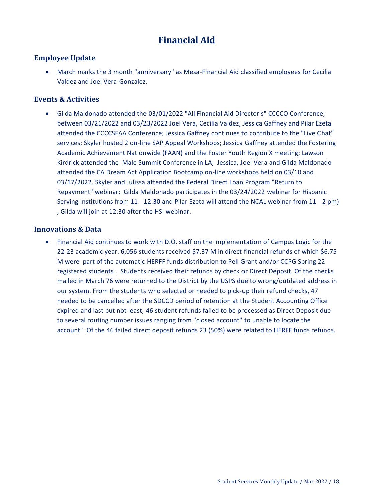# **Financial Aid**

## <span id="page-17-0"></span>**Employee Update**

 March marks the 3 month "anniversary" as Mesa-Financial Aid classified employees for Cecilia Valdez and Joel Vera-Gonzalez.

### **Events & Activities**

 Gilda Maldonado attended the 03/01/2022 "All Financial Aid Director's" CCCCO Conference; between 03/21/2022 and 03/23/2022 Joel Vera, Cecilia Valdez, Jessica Gaffney and Pilar Ezeta attended the CCCCSFAA Conference; Jessica Gaffney continues to contribute to the "Live Chat" services; Skyler hosted 2 on-line SAP Appeal Workshops; Jessica Gaffney attended the Fostering Academic Achievement Nationwide (FAAN) and the Foster Youth Region X meeting; Lawson Kirdrick attended the Male Summit Conference in LA; Jessica, Joel Vera and Gilda Maldonado attended the CA Dream Act Application Bootcamp on-line workshops held on 03/10 and 03/17/2022. Skyler and Julissa attended the Federal Direct Loan Program "Return to Repayment" webinar; Gilda Maldonado participates in the 03/24/2022 webinar for Hispanic Serving Institutions from 11 - 12:30 and Pilar Ezeta will attend the NCAL webinar from 11 - 2 pm) , Gilda will join at 12:30 after the HSI webinar.

#### **Innovations & Data**

 Financial Aid continues to work with D.O. staff on the implementation of Campus Logic for the 22-23 academic year. 6,056 students received \$7.37 M in direct financial refunds of which \$6.75 M were part of the automatic HERFF funds distribution to Pell Grant and/or CCPG Spring 22 registered students . Students received their refunds by check or Direct Deposit. Of the checks mailed in March 76 were returned to the District by the USPS due to wrong/outdated address in our system. From the students who selected or needed to pick-up their refund checks, 47 needed to be cancelled after the SDCCD period of retention at the Student Accounting Office expired and last but not least, 46 student refunds failed to be processed as Direct Deposit due to several routing number issues ranging from "closed account" to unable to locate the account". Of the 46 failed direct deposit refunds 23 (50%) were related to HERFF funds refunds.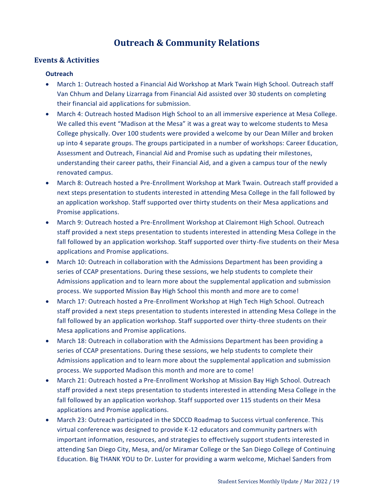# **Outreach & Community Relations**

### <span id="page-18-0"></span>**Events & Activities**

#### **Outreach**

- March 1: Outreach hosted a Financial Aid Workshop at Mark Twain High School. Outreach staff Van Chhum and Delany Lizarraga from Financial Aid assisted over 30 students on completing their financial aid applications for submission.
- March 4: Outreach hosted Madison High School to an all immersive experience at Mesa College. We called this event "Madison at the Mesa" it was a great way to welcome students to Mesa College physically. Over 100 students were provided a welcome by our Dean Miller and broken up into 4 separate groups. The groups participated in a number of workshops: Career Education, Assessment and Outreach, Financial Aid and Promise such as updating their milestones, understanding their career paths, their Financial Aid, and a given a campus tour of the newly renovated campus.
- March 8: Outreach hosted a Pre-Enrollment Workshop at Mark Twain. Outreach staff provided a next steps presentation to students interested in attending Mesa College in the fall followed by an application workshop. Staff supported over thirty students on their Mesa applications and Promise applications.
- March 9: Outreach hosted a Pre-Enrollment Workshop at Clairemont High School. Outreach staff provided a next steps presentation to students interested in attending Mesa College in the fall followed by an application workshop. Staff supported over thirty-five students on their Mesa applications and Promise applications.
- March 10: Outreach in collaboration with the Admissions Department has been providing a series of CCAP presentations. During these sessions, we help students to complete their Admissions application and to learn more about the supplemental application and submission process. We supported Mission Bay High School this month and more are to come!
- March 17: Outreach hosted a Pre-Enrollment Workshop at High Tech High School. Outreach staff provided a next steps presentation to students interested in attending Mesa College in the fall followed by an application workshop. Staff supported over thirty-three students on their Mesa applications and Promise applications.
- March 18: Outreach in collaboration with the Admissions Department has been providing a series of CCAP presentations. During these sessions, we help students to complete their Admissions application and to learn more about the supplemental application and submission process. We supported Madison this month and more are to come!
- March 21: Outreach hosted a Pre-Enrollment Workshop at Mission Bay High School. Outreach staff provided a next steps presentation to students interested in attending Mesa College in the fall followed by an application workshop. Staff supported over 115 students on their Mesa applications and Promise applications.
- March 23: Outreach participated in the SDCCD Roadmap to Success virtual conference. This virtual conference was designed to provide K-12 educators and community partners with important information, resources, and strategies to effectively support students interested in attending San Diego City, Mesa, and/or Miramar College or the San Diego College of Continuing Education. Big THANK YOU to Dr. Luster for providing a warm welcome, Michael Sanders from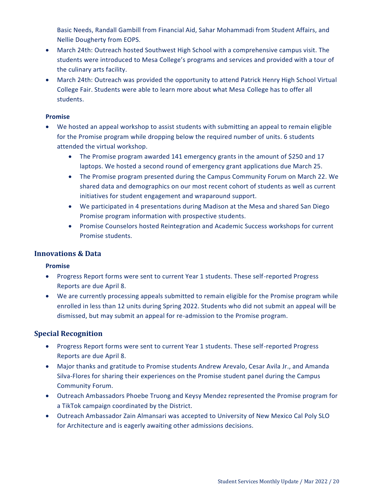Basic Needs, Randall Gambill from Financial Aid, Sahar Mohammadi from Student Affairs, and Nellie Dougherty from EOPS.

- March 24th: Outreach hosted Southwest High School with a comprehensive campus visit. The students were introduced to Mesa College's programs and services and provided with a tour of the culinary arts facility.
- March 24th: Outreach was provided the opportunity to attend Patrick Henry High School Virtual College Fair. Students were able to learn more about what Mesa College has to offer all students.

#### **Promise**

- We hosted an appeal workshop to assist students with submitting an appeal to remain eligible for the Promise program while dropping below the required number of units. 6 students attended the virtual workshop.
	- The Promise program awarded 141 emergency grants in the amount of \$250 and 17 laptops. We hosted a second round of emergency grant applications due March 25.
	- The Promise program presented during the Campus Community Forum on March 22. We shared data and demographics on our most recent cohort of students as well as current initiatives for student engagement and wraparound support.
	- We participated in 4 presentations during Madison at the Mesa and shared San Diego Promise program information with prospective students.
	- Promise Counselors hosted Reintegration and Academic Success workshops for current Promise students.

### **Innovations & Data**

#### **Promise**

- Progress Report forms were sent to current Year 1 students. These self-reported Progress Reports are due April 8.
- We are currently processing appeals submitted to remain eligible for the Promise program while enrolled in less than 12 units during Spring 2022. Students who did not submit an appeal will be dismissed, but may submit an appeal for re-admission to the Promise program.

# **Special Recognition**

- Progress Report forms were sent to current Year 1 students. These self-reported Progress Reports are due April 8.
- Major thanks and gratitude to Promise students Andrew Arevalo, Cesar Avila Jr., and Amanda Silva-Flores for sharing their experiences on the Promise student panel during the Campus Community Forum.
- Outreach Ambassadors Phoebe Truong and Keysy Mendez represented the Promise program for a TikTok campaign coordinated by the District.
- Outreach Ambassador Zain Almansari was accepted to University of New Mexico Cal Poly SLO for Architecture and is eagerly awaiting other admissions decisions.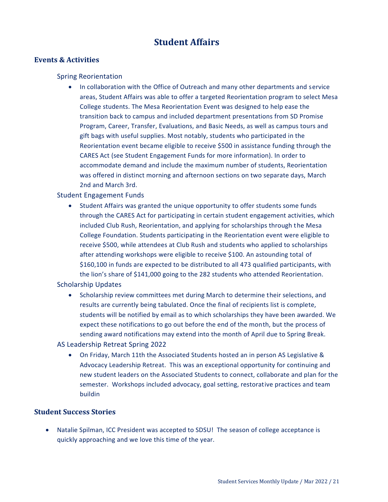# **Student Affairs**

### <span id="page-20-0"></span>**Events & Activities**

#### Spring Reorientation

• In collaboration with the Office of Outreach and many other departments and service areas, Student Affairs was able to offer a targeted Reorientation program to select Mesa College students. The Mesa Reorientation Event was designed to help ease the transition back to campus and included department presentations from SD Promise Program, Career, Transfer, Evaluations, and Basic Needs, as well as campus tours and gift bags with useful supplies. Most notably, students who participated in the Reorientation event became eligible to receive \$500 in assistance funding through the CARES Act (see Student Engagement Funds for more information). In order to accommodate demand and include the maximum number of students, Reorientation was offered in distinct morning and afternoon sections on two separate days, March 2nd and March 3rd.

### Student Engagement Funds

 Student Affairs was granted the unique opportunity to offer students some funds through the CARES Act for participating in certain student engagement activities, which included Club Rush, Reorientation, and applying for scholarships through the Mesa College Foundation. Students participating in the Reorientation event were eligible to receive \$500, while attendees at Club Rush and students who applied to scholarships after attending workshops were eligible to receive \$100. An astounding total of \$160,100 in funds are expected to be distributed to all 473 qualified participants, with the lion's share of \$141,000 going to the 282 students who attended Reorientation.

### Scholarship Updates

• Scholarship review committees met during March to determine their selections, and results are currently being tabulated. Once the final of recipients list is complete, students will be notified by email as to which scholarships they have been awarded. We expect these notifications to go out before the end of the month, but the process of sending award notifications may extend into the month of April due to Spring Break.

#### AS Leadership Retreat Spring 2022

 On Friday, March 11th the Associated Students hosted an in person AS Legislative & Advocacy Leadership Retreat. This was an exceptional opportunity for continuing and new student leaders on the Associated Students to connect, collaborate and plan for the semester. Workshops included advocacy, goal setting, restorative practices and team buildin

### **Student Success Stories**

 Natalie Spilman, ICC President was accepted to SDSU! The season of college acceptance is quickly approaching and we love this time of the year.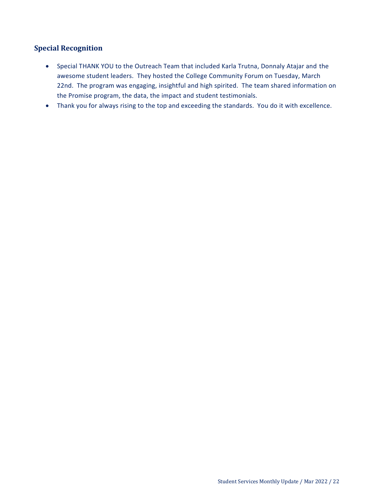# **Special Recognition**

- Special THANK YOU to the Outreach Team that included Karla Trutna, Donnaly Atajar and the awesome student leaders. They hosted the College Community Forum on Tuesday, March 22nd. The program was engaging, insightful and high spirited. The team shared information on the Promise program, the data, the impact and student testimonials.
- Thank you for always rising to the top and exceeding the standards. You do it with excellence.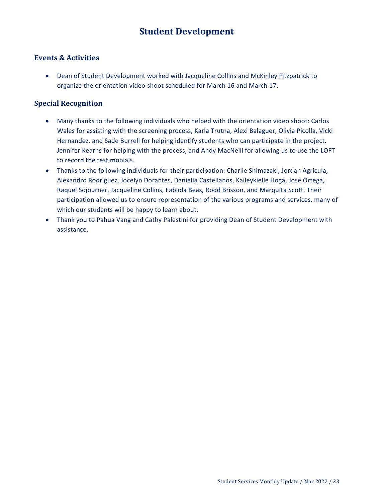# **Student Development**

### <span id="page-22-0"></span>**Events & Activities**

 Dean of Student Development worked with Jacqueline Collins and McKinley Fitzpatrick to organize the orientation video shoot scheduled for March 16 and March 17.

### **Special Recognition**

- Many thanks to the following individuals who helped with the orientation video shoot: Carlos Wales for assisting with the screening process, Karla Trutna, Alexi Balaguer, Olivia Picolla, Vicki Hernandez, and Sade Burrell for helping identify students who can participate in the project. Jennifer Kearns for helping with the process, and Andy MacNeill for allowing us to use the LOFT to record the testimonials.
- Thanks to the following individuals for their participation: Charlie Shimazaki, Jordan Agricula, Alexandro Rodriguez, Jocelyn Dorantes, Daniella Castellanos, Kaileykielle Hoga, Jose Ortega, Raquel Sojourner, Jacqueline Collins, Fabiola Beas, Rodd Brisson, and Marquita Scott. Their participation allowed us to ensure representation of the various programs and services, many of which our students will be happy to learn about.
- Thank you to Pahua Vang and Cathy Palestini for providing Dean of Student Development with assistance.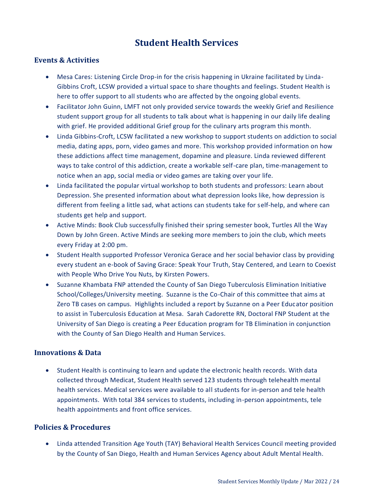# **Student Health Services**

### <span id="page-23-0"></span>**Events & Activities**

- Mesa Cares: Listening Circle Drop-in for the crisis happening in Ukraine facilitated by Linda-Gibbins Croft, LCSW provided a virtual space to share thoughts and feelings. Student Health is here to offer support to all students who are affected by the ongoing global events.
- Facilitator John Guinn, LMFT not only provided service towards the weekly Grief and Resilience student support group for all students to talk about what is happening in our daily life dealing with grief. He provided additional Grief group for the culinary arts program this month.
- Linda Gibbins-Croft, LCSW facilitated a new workshop to support students on addiction to social media, dating apps, porn, video games and more. This workshop provided information on how these addictions affect time management, dopamine and pleasure. Linda reviewed different ways to take control of this addiction, create a workable self-care plan, time-management to notice when an app, social media or video games are taking over your life.
- Linda facilitated the popular virtual workshop to both students and professors: Learn about Depression. She presented information about what depression looks like, how depression is different from feeling a little sad, what actions can students take for self-help, and where can students get help and support.
- Active Minds: Book Club successfully finished their spring semester book, Turtles All the Way Down by John Green. Active Minds are seeking more members to join the club, which meets every Friday at 2:00 pm.
- Student Health supported Professor Veronica Gerace and her social behavior class by providing every student an e-book of Saving Grace: Speak Your Truth, Stay Centered, and Learn to Coexist with People Who Drive You Nuts, by Kirsten Powers.
- Suzanne Khambata FNP attended the County of San Diego Tuberculosis Elimination Initiative School/Colleges/University meeting. Suzanne is the Co-Chair of this committee that aims at Zero TB cases on campus. Highlights included a report by Suzanne on a Peer Educator position to assist in Tuberculosis Education at Mesa. Sarah Cadorette RN, Doctoral FNP Student at the University of San Diego is creating a Peer Education program for TB Elimination in conjunction with the County of San Diego Health and Human Services.

### **Innovations & Data**

 Student Health is continuing to learn and update the electronic health records. With data collected through Medicat, Student Health served 123 students through telehealth mental health services. Medical services were available to all students for in-person and tele health appointments. With total 384 services to students, including in-person appointments, tele health appointments and front office services.

### **Policies & Procedures**

 Linda attended Transition Age Youth (TAY) Behavioral Health Services Council meeting provided by the County of San Diego, Health and Human Services Agency about Adult Mental Health.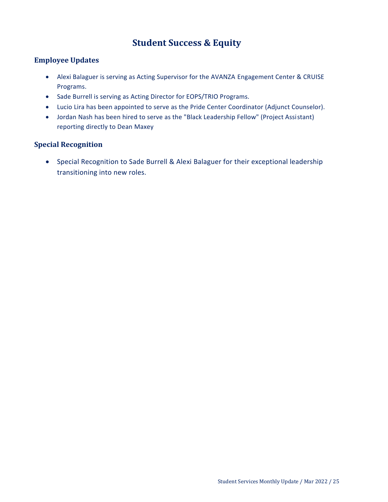# **Student Success & Equity**

### <span id="page-24-0"></span>**Employee Updates**

- Alexi Balaguer is serving as Acting Supervisor for the AVANZA Engagement Center & CRUISE Programs.
- Sade Burrell is serving as Acting Director for EOPS/TRIO Programs.
- Lucio Lira has been appointed to serve as the Pride Center Coordinator (Adjunct Counselor).
- Jordan Nash has been hired to serve as the "Black Leadership Fellow" (Project Assistant) reporting directly to Dean Maxey

# **Special Recognition**

 Special Recognition to Sade Burrell & Alexi Balaguer for their exceptional leadership transitioning into new roles.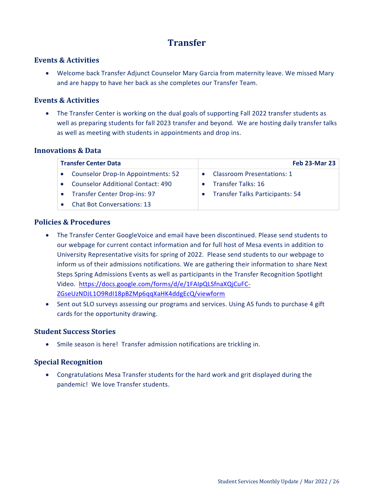# **Transfer**

#### <span id="page-25-0"></span>**Events & Activities**

 Welcome back Transfer Adjunct Counselor Mary Garcia from maternity leave. We missed Mary and are happy to have her back as she completes our Transfer Team.

#### **Events & Activities**

• The Transfer Center is working on the dual goals of supporting Fall 2022 transfer students as well as preparing students for fall 2023 transfer and beyond. We are hosting daily transfer talks as well as meeting with students in appointments and drop ins.

#### **Innovations & Data**

| <b>Transfer Center Data</b>               | <b>Feb 23-Mar 23</b>                   |
|-------------------------------------------|----------------------------------------|
| <b>Counselor Drop-In Appointments: 52</b> | <b>Classroom Presentations: 1</b>      |
| <b>Counselor Additional Contact: 490</b>  | <b>Transfer Talks: 16</b>              |
| <b>Transfer Center Drop-ins: 97</b>       | <b>Transfer Talks Participants: 54</b> |
| <b>Chat Bot Conversations: 13</b>         |                                        |

#### **Policies & Procedures**

- The Transfer Center GoogleVoice and email have been discontinued. Please send students to our webpage for current contact information and for full host of Mesa events in addition to University Representative visits for spring of 2022. Please send students to our webpage to inform us of their admissions notifications. We are gathering their information to share Next Steps Spring Admissions Events as well as participants in the Transfer Recognition Spotlight Video. [https://docs.google.com/forms/d/e/1FAIpQLSfnaXQjCuFC-](https://docs.google.com/forms/d/e/1FAIpQLSfnaXQjCuFC-ZGseUzNDJL1O9RdI18pBZMp6qqXaHK4ddgEcQ/viewform)[ZGseUzNDJL1O9RdI18pBZMp6qqXaHK4ddgEcQ/viewform](https://docs.google.com/forms/d/e/1FAIpQLSfnaXQjCuFC-ZGseUzNDJL1O9RdI18pBZMp6qqXaHK4ddgEcQ/viewform)
- Sent out SLO surveys assessing our programs and services. Using AS funds to purchase 4 gift cards for the opportunity drawing.

### **Student Success Stories**

Smile season is here! Transfer admission notifications are trickling in.

### **Special Recognition**

 Congratulations Mesa Transfer students for the hard work and grit displayed during the pandemic! We love Transfer students.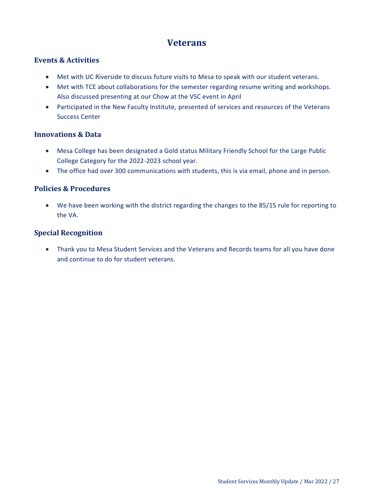# **Veterans**

# <span id="page-26-0"></span>**Events & Activities**

- Met with UC Riverside to discuss future visits to Mesa to speak with our student veterans.
- Met with TCE about collaborations for the semester regarding resume writing and workshops. Also discussed presenting at our Chow at the VSC event in April
- Participated in the New Faculty Institute, presented of services and resources of the Veterans Success Center

### **Innovations & Data**

- Mesa College has been designated a Gold status Military Friendly School for the Large Public College Category for the 2022-2023 school year.
- The office had over 300 communications with students, this is via email, phone and in person.

### **Policies & Procedures**

 We have been working with the district regarding the changes to the 85/15 rule for reporting to the VA.

### **Special Recognition**

 Thank you to Mesa Student Services and the Veterans and Records teams for all you have done and continue to do for student veterans.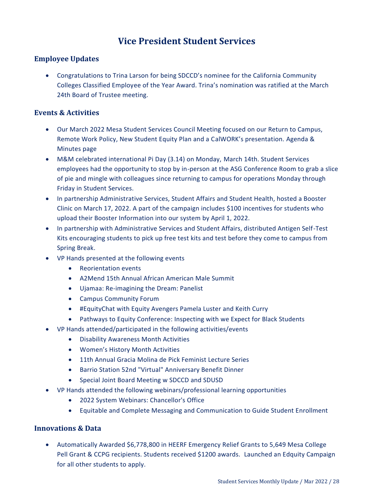# **Vice President Student Services**

### <span id="page-27-0"></span>**Employee Updates**

 Congratulations to Trina Larson for being SDCCD's nominee for the California Community Colleges Classified Employee of the Year Award. Trina's nomination was ratified at the March 24th Board of Trustee meeting.

### **Events & Activities**

- Our March 2022 Mesa Student Services Council Meeting focused on our Return to Campus, Remote Work Policy, New Student Equity Plan and a CalWORK's presentation. [Agenda &](https://www.sdmesa.edu/about-mesa/governance/committees/student-services-agendas-minutes-and-documents/student-services-agendas-minutes.shtml)  [Minutes page](https://www.sdmesa.edu/about-mesa/governance/committees/student-services-agendas-minutes-and-documents/student-services-agendas-minutes.shtml)
- M&M celebrated international Pi Day (3.14) on Monday, March 14th. Student Services employees had the opportunity to stop by in-person at the ASG Conference Room to grab a slice of pie and mingle with colleagues since returning to campus for operations Monday through Friday in Student Services.
- In partnership Administrative Services, Student Affairs and Student Health, hosted a Booster Clinic on March 17, 2022. A part of the campaign includes \$100 incentives for students who upload their Booster Information into our system by April 1, 2022.
- In partnership with Administrative Services and Student Affairs, distributed Antigen Self-Test Kits encouraging students to pick up free test kits and test before they come to campus from Spring Break.
- VP Hands presented at the following events
	- Reorientation events
	- A2Mend 15th Annual African American Male Summit
	- Ujamaa: Re-imagining the Dream: Panelist
	- Campus Community Forum
	- #EquityChat with Equity Avengers Pamela Luster and Keith Curry
	- Pathways to Equity Conference: Inspecting with we Expect for Black Students
- VP Hands attended/participated in the following activities/events
	- Disability Awareness Month Activities
	- Women's History Month Activities
	- 11th Annual Gracia Molina de Pick Feminist Lecture Series
	- Barrio Station 52nd "Virtual" Anniversary Benefit Dinner
	- Special Joint Board Meeting w SDCCD and SDUSD
- VP Hands attended the following webinars/professional learning opportunities
	- 2022 System Webinars: Chancellor's Office
	- Equitable and Complete Messaging and Communication to Guide Student Enrollment

### **Innovations & Data**

 Automatically Awarded \$6,778,800 in HEERF Emergency Relief Grants to 5,649 Mesa College Pell Grant & CCPG recipients. Students received \$1200 awards. Launched an Edquity Campaign for all other students to apply.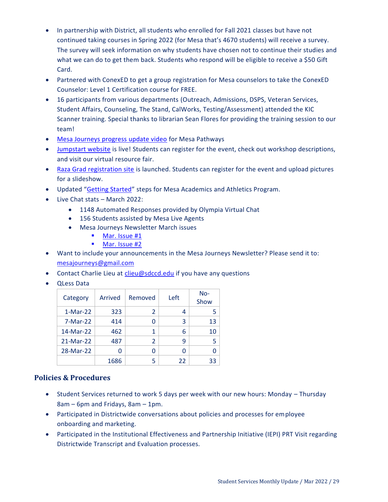- In partnership with District, all students who enrolled for Fall 2021 classes but have not continued taking courses in Spring 2022 (for Mesa that's 4670 students) will receive a survey. The survey will seek information on why students have chosen not to continue their studies and what we can do to get them back. Students who respond will be eligible to receive a \$50 Gift Card.
- Partnered with ConexED to get a group registration for Mesa counselors to take the ConexED Counselor: Level 1 Certification course for FREE.
- 16 participants from various departments (Outreach, Admissions, DSPS, Veteran Services, Student Affairs, Counseling, The Stand, CalWorks, Testing/Assessment) attended the KIC Scanner training. Special thanks to librarian Sean Flores for providing the training session to our team!
- [Mesa Journeys progress update video](https://drive.google.com/file/d/1QMicSi0dXTroWp0s-l21Tc2fCgsKsHuq/view?usp=sharing) for Mesa Pathways
- [Jumpstart website](https://www.sdmesa.edu/campus-life/jumpstart.shtml) is live! Students can register for the event, check out workshop descriptions, and visit our virtual resource fair.
- [Raza Grad registration site](https://www.sdmesa.edu/academics/schools-departments/chicano-studies/raza-celebration.shtml) is launched. Students can register for the event and upload pictures for a slideshow.
- Updated "[Getting Started](https://www.sdmesa.edu/student-services/student-athlete-support-services/getting-started.shtml)" steps for Mesa Academics and Athletics Program.
- Live Chat stats March 2022:
	- 1148 Automated Responses provided by Olympia Virtual Chat
	- 156 Students assisted by Mesa Live Agents
	- Mesa Journeys Newsletter March issues
		- **[Mar. Issue #1](https://drive.google.com/file/d/1pUWigsjM9mrH1dsw9YF6cnaygN6zcnVF/view?usp=sharing)**
		- **[Mar. Issue #2](https://drive.google.com/file/d/1bzEzWi7GLj9Rhyht8VqEQ6fex-zZ2SGt/view?usp=sharing)**
- Want to include your announcements in the Mesa Journeys Newsletter? Please send it to: [mesajourneys@gmail.com](mailto:mesajourneys@gmail.com)
- Contact Charlie Lieu at [clieu@sdccd.edu](mailto:clieu@sdccd.edu) if you have any questions
- QLess Data

| Category   | Arrived | Removed        | Left | $No-$<br>Show |
|------------|---------|----------------|------|---------------|
| $1-Mar-22$ | 323     | 2              | 4    | 5             |
| 7-Mar-22   | 414     | ი              | 3    | 13            |
| 14-Mar-22  | 462     | 1              | 6    | 10            |
| 21-Mar-22  | 487     | $\overline{2}$ | ٩    | 5             |
| 28-Mar-22  | 0       | ი              | O    | n             |
|            | 1686    | 5              | 22   | 33            |

# **Policies & Procedures**

- Student Services returned to work 5 days per week with our new hours: Monday Thursday 8am – 6pm and Fridays, 8am – 1pm.
- Participated in Districtwide conversations about policies and processes for employee onboarding and marketing.
- Participated in the Institutional Effectiveness and Partnership Initiative (IEPI) PRT Visit regarding Districtwide Transcript and Evaluation processes.